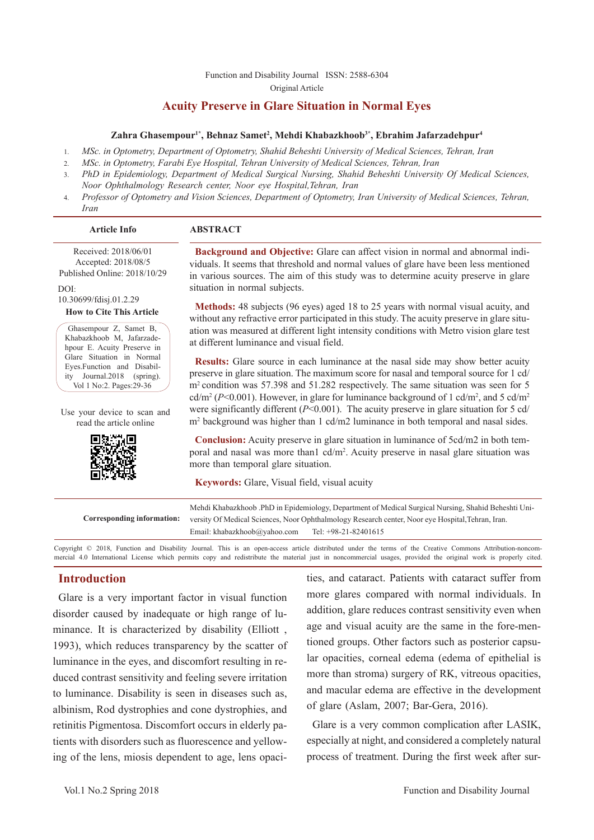[Function and Disability Journal ISSN: 2588-6304](http://fdj.iums.ac.ir/index.php?&slct_pg_id=10&sid=1&slc_lang=en)  Original Article

# **Acuity Preserve in Glare Situation in Normal Eyes**

#### **Zahra Ghasempour1\*, Behnaz Samet2 , Mehdi Khabazkhoob3\*, Ebrahim Jafarzadehpur4**

- 1. *MSc. in Optometry, Department of Optometry, Shahid Beheshti University of Medical Sciences, Tehran, Iran*
- 2. *MSc. in Optometry, Farabi Eye Hospital, Tehran University of Medical Sciences, Tehran, Iran*
- 3. *PhD in Epidemiology, Department of Medical Surgical Nursing, Shahid Beheshti University Of Medical Sciences, Noor Ophthalmology Research center, Noor eye Hospital,Tehran, Iran*
- 4. *Professor of Optometry and Vision Sciences, Department of Optometry, Iran University of Medical Sciences, Tehran, Iran*

#### **Article Info ABSTRACT**

 Received: 2018/06/01 Accepted: 2018/08/5 Published Online: 2018/10/29

DOI: 10.30699/fdisj.01.2.29

**How to Cite This Article**

Ghasempour Z, Samet B, Khabazkhoob M, Jafarzadehpour E. Acuity Preserve in Glare Situation in Normal Eyes.Function and Disability Journal.2018 (spring). Vol 1 No:2. Pages:29-36

Use your device to scan and read the article online



**Background and Objective:** Glare can affect vision in normal and abnormal individuals. It seems that threshold and normal values of glare have been less mentioned in various sources. The aim of this study was to determine acuity preserve in glare situation in normal subjects.

**Methods:** 48 subjects (96 eyes) aged 18 to 25 years with normal visual acuity, and without any refractive error participated in this study. The acuity preserve in glare situation was measured at different light intensity conditions with Metro vision glare test at different luminance and visual field.

**Results:** Glare source in each luminance at the nasal side may show better acuity preserve in glare situation. The maximum score for nasal and temporal source for 1 cd/ m<sup>2</sup> condition was 57.398 and 51.282 respectively. The same situation was seen for 5 cd/m<sup>2</sup> ( $P$ <0.001). However, in glare for luminance background of 1 cd/m<sup>2</sup>, and 5 cd/m<sup>2</sup> were significantly different ( $P<0.001$ ). The acuity preserve in glare situation for 5 cd/ m2 background was higher than 1 cd/m2 luminance in both temporal and nasal sides.

**Conclusion:** Acuity preserve in glare situation in luminance of 5cd/m2 in both temporal and nasal was more than1 cd/m2 . Acuity preserve in nasal glare situation was more than temporal glare situation.

**Keywords:** Glare, Visual field, visual acuity

|                            |                              | Mehdi Khabazkhoob .PhD in Epidemiology, Department of Medical Surgical Nursing, Shahid Beheshti Uni- |
|----------------------------|------------------------------|------------------------------------------------------------------------------------------------------|
| Corresponding information: |                              | versity Of Medical Sciences, Noor Ophthalmology Research center, Noor eye Hospital, Tehran, Iran.    |
|                            | Email: khabazkhoob@vahoo.com | Tel: +98-21-82401615                                                                                 |
|                            |                              |                                                                                                      |

Copyright © 2018, Function and Disability Journal. This is an open-access article distributed under the terms of the Creative Commons Attribution-noncommercial 4.0 International License which permits copy and redistribute the material just in noncommercial usages, provided the original work is properly cited.

## **Introduction**

Glare is a very important factor in visual function disorder caused by inadequate or high range of luminance. It is characterized by disability (Elliott , 1993), which reduces transparency by the scatter of luminance in the eyes, and discomfort resulting in reduced contrast sensitivity and feeling severe irritation to luminance. Disability is seen in diseases such as, albinism, Rod dystrophies and cone dystrophies, and retinitis Pigmentosa. Discomfort occurs in elderly patients with disorders such as fluorescence and yellowing of the lens, miosis dependent to age, lens opacities, and cataract. Patients with cataract suffer from more glares compared with normal individuals. In addition, glare reduces contrast sensitivity even when age and visual acuity are the same in the fore-mentioned groups. Other factors such as posterior capsular opacities, corneal edema (edema of epithelial is more than stroma) surgery of RK, vitreous opacities, and macular edema are effective in the development of glare (Aslam, 2007; Bar-Gera, 2016).

Glare is a very common complication after LASIK, especially at night, and considered a completely natural process of treatment. During the first week after sur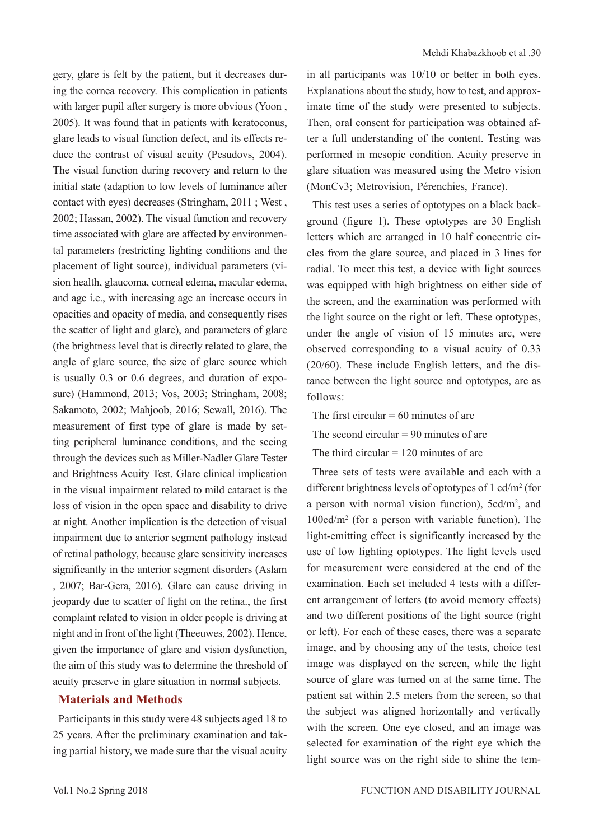gery, glare is felt by the patient, but it decreases during the cornea recovery. This complication in patients with larger pupil after surgery is more obvious (Yoon, 2005). It was found that in patients with keratoconus, glare leads to visual function defect, and its effects reduce the contrast of visual acuity (Pesudovs, 2004). The visual function during recovery and return to the initial state (adaption to low levels of luminance after contact with eyes) decreases (Stringham, 2011 ; West , 2002; Hassan, 2002). The visual function and recovery time associated with glare are affected by environmental parameters (restricting lighting conditions and the placement of light source), individual parameters (vision health, glaucoma, corneal edema, macular edema, and age i.e., with increasing age an increase occurs in opacities and opacity of media, and consequently rises the scatter of light and glare), and parameters of glare (the brightness level that is directly related to glare, the angle of glare source, the size of glare source which is usually 0.3 or 0.6 degrees, and duration of exposure) (Hammond, 2013; Vos, 2003; Stringham, 2008; Sakamoto, 2002; Mahjoob, 2016; Sewall, 2016). The measurement of first type of glare is made by setting peripheral luminance conditions, and the seeing through the devices such as Miller-Nadler Glare Tester and Brightness Acuity Test. Glare clinical implication in the visual impairment related to mild cataract is the loss of vision in the open space and disability to drive at night. Another implication is the detection of visual impairment due to anterior segment pathology instead of retinal pathology, because glare sensitivity increases significantly in the anterior segment disorders (Aslam , 2007; Bar-Gera, 2016). Glare can cause driving in jeopardy due to scatter of light on the retina., the first complaint related to vision in older people is driving at night and in front of the light (Theeuwes, 2002). Hence, given the importance of glare and vision dysfunction, the aim of this study was to determine the threshold of acuity preserve in glare situation in normal subjects.

# **Materials and Methods**

Participants in this study were 48 subjects aged 18 to 25 years. After the preliminary examination and taking partial history, we made sure that the visual acuity in all participants was 10/10 or better in both eyes. Explanations about the study, how to test, and approximate time of the study were presented to subjects. Then, oral consent for participation was obtained after a full understanding of the content. Testing was performed in mesopic condition. Acuity preserve in glare situation was measured using the Metro vision (MonCv3; Metrovision, Pérenchies, France).

This test uses a series of optotypes on a black background (figure 1). These optotypes are 30 English letters which are arranged in 10 half concentric circles from the glare source, and placed in 3 lines for radial. To meet this test, a device with light sources was equipped with high brightness on either side of the screen, and the examination was performed with the light source on the right or left. These optotypes, under the angle of vision of 15 minutes arc, were observed corresponding to a visual acuity of 0.33 (20/60). These include English letters, and the distance between the light source and optotypes, are as follows:

The first circular  $= 60$  minutes of arc

The second circular  $= 90$  minutes of arc

The third circular  $= 120$  minutes of arc

Three sets of tests were available and each with a different brightness levels of optotypes of 1 cd/m2 (for a person with normal vision function), 5cd/m<sup>2</sup>, and 100cd/m2 (for a person with variable function). The light-emitting effect is significantly increased by the use of low lighting optotypes. The light levels used for measurement were considered at the end of the examination. Each set included 4 tests with a different arrangement of letters (to avoid memory effects) and two different positions of the light source (right or left). For each of these cases, there was a separate image, and by choosing any of the tests, choice test image was displayed on the screen, while the light source of glare was turned on at the same time. The patient sat within 2.5 meters from the screen, so that the subject was aligned horizontally and vertically with the screen. One eve closed, and an image was selected for examination of the right eye which the light source was on the right side to shine the tem-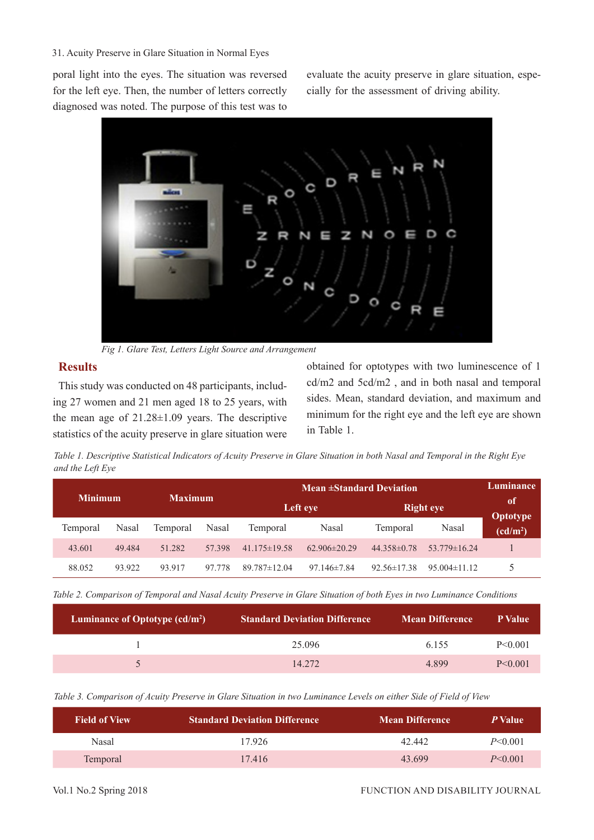#### 31. Acuity Preserve in Glare Situation in Normal Eyes

poral light into the eyes. The situation was reversed for the left eye. Then, the number of letters correctly diagnosed was noted. The purpose of this test was to

evaluate the acuity preserve in glare situation, especially for the assessment of driving ability.



*Fig 1. Glare Test, Letters Light Source and Arrangement* 

# **Results**

This study was conducted on 48 participants, including 27 women and 21 men aged 18 to 25 years, with the mean age of 21.28±1.09 years. The descriptive statistics of the acuity preserve in glare situation were

obtained for optotypes with two luminescence of 1 cd/m2 and 5cd/m2 , and in both nasal and temporal sides. Mean, standard deviation, and maximum and minimum for the right eye and the left eye are shown in Table 1.

*Table 1. Descriptive Statistical Indicators of Acuity Preserve in Glare Situation in both Nasal and Temporal in the Right Eye and the Left Eye*

|                |        |                |        | <b>Mean ±Standard Deviation</b> |                   |                   | Luminance          |                                         |
|----------------|--------|----------------|--------|---------------------------------|-------------------|-------------------|--------------------|-----------------------------------------|
| <b>Minimum</b> |        | <b>Maximum</b> |        | Left eye                        |                   |                   | <b>Right eye</b>   | of                                      |
| Temporal       | Nasal  | Temporal       | Nasal  | Temporal                        | Nasal             | Temporal          | Nasal              | <b>Optotype</b><br>(cd/m <sup>2</sup> ) |
| 43.601         | 49.484 | 51.282         | 57.398 | $41.175 \pm 19.58$              | $62.906\pm20.29$  | $44.358\pm0.78$   | $53.779 \pm 16.24$ |                                         |
| 88.052         | 93.922 | 93.917         | 97.778 | $89.787 \pm 12.04$              | $97.146 \pm 7.84$ | $92.56 \pm 17.38$ | $95.004\pm11.12$   |                                         |

*Table 2. Comparison of Temporal and Nasal Acuity Preserve in Glare Situation of both Eyes in two Luminance Conditions*

| <b>Standard Deviation Difference</b> | <b>Mean Difference</b> | P Value   |
|--------------------------------------|------------------------|-----------|
| 25.096                               | 6.155                  | P < 0.001 |
| 14.272                               | 4.899                  | P < 0.001 |
|                                      |                        |           |

*Table 3. Comparison of Acuity Preserve in Glare Situation in two Luminance Levels on either Side of Field of View*

| <b>Field of View</b> | <b>Standard Deviation Difference</b> | <b>Mean Difference</b> | <i>P</i> Value |
|----------------------|--------------------------------------|------------------------|----------------|
| Nasal                | 17.926                               | 42.442                 | $P \le 0.001$  |
| Temporal             | 17.416                               | 43.699                 | $P \le 0.001$  |

#### Vol.1 No.2 Spring 2018 FUNCTION AND DISABILITY JOURNAL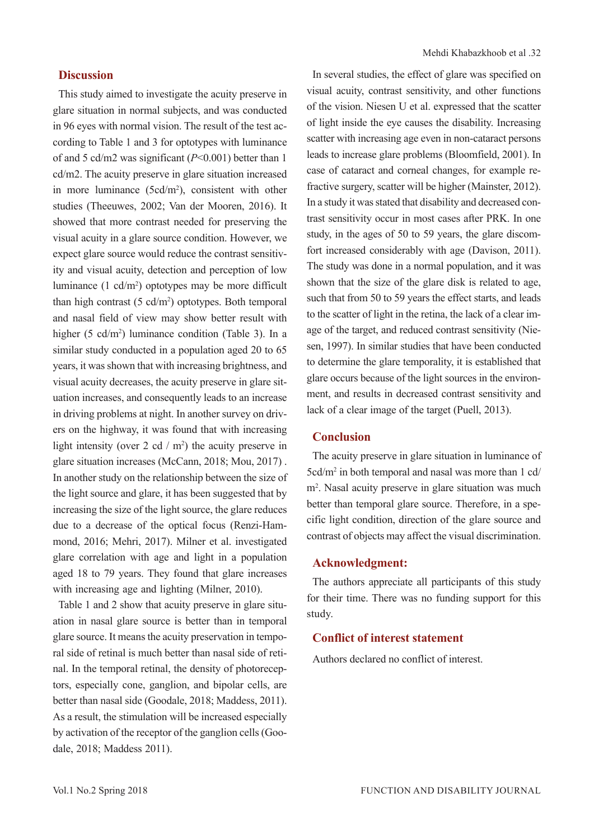# **Discussion**

This study aimed to investigate the acuity preserve in glare situation in normal subjects, and was conducted in 96 eyes with normal vision. The result of the test according to Table 1 and 3 for optotypes with luminance of and 5 cd/m2 was significant (*P*<0.001) better than 1 cd/m2. The acuity preserve in glare situation increased in more luminance  $(5cd/m^2)$ , consistent with other studies (Theeuwes, 2002; Van der Mooren, 2016). It showed that more contrast needed for preserving the visual acuity in a glare source condition. However, we expect glare source would reduce the contrast sensitivity and visual acuity, detection and perception of low luminance  $(1 \text{ cd/m}^2)$  optotypes may be more difficult than high contrast  $(5 \text{ cd/m}^2)$  optotypes. Both temporal and nasal field of view may show better result with higher (5 cd/m<sup>2</sup>) luminance condition (Table 3). In a similar study conducted in a population aged 20 to 65 years, it was shown that with increasing brightness, and visual acuity decreases, the acuity preserve in glare situation increases, and consequently leads to an increase in driving problems at night. In another survey on drivers on the highway, it was found that with increasing light intensity (over 2 cd /  $m<sup>2</sup>$ ) the acuity preserve in glare situation increases (McCann, 2018; Mou, 2017) . In another study on the relationship between the size of the light source and glare, it has been suggested that by increasing the size of the light source, the glare reduces due to a decrease of the optical focus (Renzi-Hammond, 2016; Mehri, 2017). Milner et al. investigated glare correlation with age and light in a population aged 18 to 79 years. They found that glare increases with increasing age and lighting (Milner, 2010).

Table 1 and 2 show that acuity preserve in glare situation in nasal glare source is better than in temporal glare source. It means the acuity preservation in temporal side of retinal is much better than nasal side of retinal. In the temporal retinal, the density of photoreceptors, especially cone, ganglion, and bipolar cells, are better than nasal side (Goodale, 2018; Maddess, 2011). As a result, the stimulation will be increased especially by activation of the receptor of the ganglion cells (Goodale, 2018; Maddess 2011).

In several studies, the effect of glare was specified on visual acuity, contrast sensitivity, and other functions of the vision. Niesen U et al. expressed that the scatter of light inside the eye causes the disability. Increasing scatter with increasing age even in non-cataract persons leads to increase glare problems (Bloomfield, 2001). In case of cataract and corneal changes, for example refractive surgery, scatter will be higher (Mainster, 2012). In a study it was stated that disability and decreased contrast sensitivity occur in most cases after PRK. In one study, in the ages of 50 to 59 years, the glare discomfort increased considerably with age (Davison, 2011). The study was done in a normal population, and it was shown that the size of the glare disk is related to age, such that from 50 to 59 years the effect starts, and leads to the scatter of light in the retina, the lack of a clear image of the target, and reduced contrast sensitivity (Niesen, 1997). In similar studies that have been conducted to determine the glare temporality, it is established that glare occurs because of the light sources in the environment, and results in decreased contrast sensitivity and lack of a clear image of the target (Puell, 2013).

# **Conclusion**

The acuity preserve in glare situation in luminance of 5cd/m<sup>2</sup> in both temporal and nasal was more than 1 cd/ m2 . Nasal acuity preserve in glare situation was much better than temporal glare source. Therefore, in a specific light condition, direction of the glare source and contrast of objects may affect the visual discrimination.

# **Acknowledgment:**

The authors appreciate all participants of this study for their time. There was no funding support for this study.

# **Conflict of interest statement**

Authors declared no conflict of interest.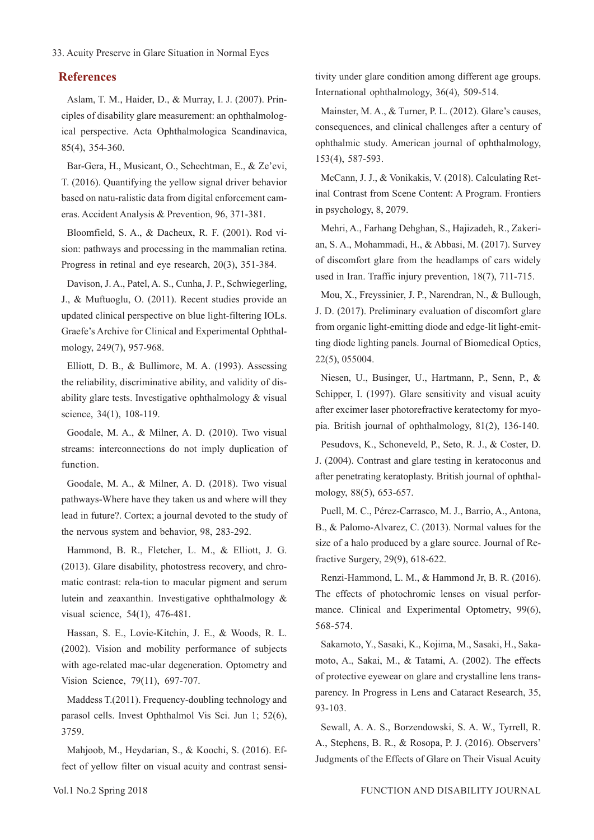### **References**

Aslam, T. M., Haider, D., & Murray, I. J. (2007). Principles of disability glare measurement: an ophthalmological perspective. Acta Ophthalmologica Scandinavica, 85(4), 354-360.

Bar-Gera, H., Musicant, O., Schechtman, E., & Ze'evi, T. (2016). Quantifying the yellow signal driver behavior based on natu-ralistic data from digital enforcement cameras. Accident Analysis & Prevention, 96, 371-381.

Bloomfield, S. A., & Dacheux, R. F. (2001). Rod vision: pathways and processing in the mammalian retina. Progress in retinal and eye research, 20(3), 351-384.

Davison, J. A., Patel, A. S., Cunha, J. P., Schwiegerling, J., & Muftuoglu, O. (2011). Recent studies provide an updated clinical perspective on blue light-filtering IOLs. Graefe's Archive for Clinical and Experimental Ophthalmology, 249(7), 957-968.

Elliott, D. B., & Bullimore, M. A. (1993). Assessing the reliability, discriminative ability, and validity of disability glare tests. Investigative ophthalmology & visual science, 34(1), 108-119.

Goodale, M. A., & Milner, A. D. (2010). Two visual streams: interconnections do not imply duplication of function.

Goodale, M. A., & Milner, A. D. (2018). Two visual pathways-Where have they taken us and where will they lead in future?. Cortex; a journal devoted to the study of the nervous system and behavior, 98, 283-292.

Hammond, B. R., Fletcher, L. M., & Elliott, J. G. (2013). Glare disability, photostress recovery, and chromatic contrast: rela-tion to macular pigment and serum lutein and zeaxanthin. Investigative ophthalmology & visual science, 54(1), 476-481.

Hassan, S. E., Lovie-Kitchin, J. E., & Woods, R. L. (2002). Vision and mobility performance of subjects with age-related mac-ular degeneration. Optometry and Vision Science, 79(11), 697-707.

Maddess T.(2011). Frequency-doubling technology and parasol cells. Invest Ophthalmol Vis Sci. Jun 1; 52(6), 3759.

Mahjoob, M., Heydarian, S., & Koochi, S. (2016). Effect of yellow filter on visual acuity and contrast sensitivity under glare condition among different age groups. International ophthalmology, 36(4), 509-514.

Mainster, M. A., & Turner, P. L. (2012). Glare's causes, consequences, and clinical challenges after a century of ophthalmic study. American journal of ophthalmology, 153(4), 587-593.

McCann, J. J., & Vonikakis, V. (2018). Calculating Retinal Contrast from Scene Content: A Program. Frontiers in psychology, 8, 2079.

Mehri, A., Farhang Dehghan, S., Hajizadeh, R., Zakerian, S. A., Mohammadi, H., & Abbasi, M. (2017). Survey of discomfort glare from the headlamps of cars widely used in Iran. Traffic injury prevention, 18(7), 711-715.

Mou, X., Freyssinier, J. P., Narendran, N., & Bullough, J. D. (2017). Preliminary evaluation of discomfort glare from organic light-emitting diode and edge-lit light-emitting diode lighting panels. Journal of Biomedical Optics, 22(5), 055004.

Niesen, U., Businger, U., Hartmann, P., Senn, P., & Schipper, I. (1997). Glare sensitivity and visual acuity after excimer laser photorefractive keratectomy for myopia. British journal of ophthalmology, 81(2), 136-140.

Pesudovs, K., Schoneveld, P., Seto, R. J., & Coster, D. J. (2004). Contrast and glare testing in keratoconus and after penetrating keratoplasty. British journal of ophthalmology, 88(5), 653-657.

Puell, M. C., Pérez-Carrasco, M. J., Barrio, A., Antona, B., & Palomo-Alvarez, C. (2013). Normal values for the size of a halo produced by a glare source. Journal of Refractive Surgery, 29(9), 618-622.

Renzi‐Hammond, L. M., & Hammond Jr, B. R. (2016). The effects of photochromic lenses on visual performance. Clinical and Experimental Optometry, 99(6), 568-574.

Sakamoto, Y., Sasaki, K., Kojima, M., Sasaki, H., Sakamoto, A., Sakai, M., & Tatami, A. (2002). The effects of protective eyewear on glare and crystalline lens transparency. In Progress in Lens and Cataract Research, 35, 93-103.

Sewall, A. A. S., Borzendowski, S. A. W., Tyrrell, R. A., Stephens, B. R., & Rosopa, P. J. (2016). Observers' Judgments of the Effects of Glare on Their Visual Acuity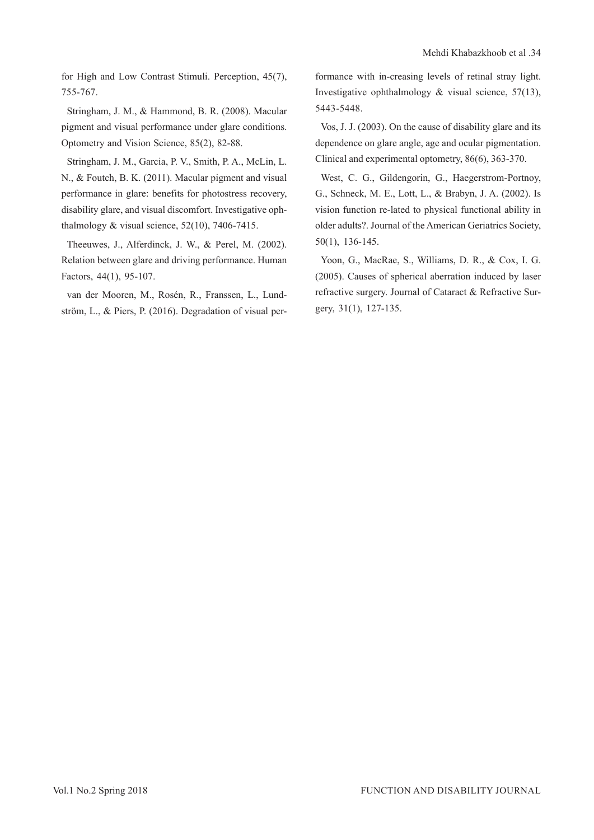for High and Low Contrast Stimuli. Perception, 45(7), 755-767.

Stringham, J. M., & Hammond, B. R. (2008). Macular pigment and visual performance under glare conditions. Optometry and Vision Science, 85(2), 82-88.

Stringham, J. M., Garcia, P. V., Smith, P. A., McLin, L. N., & Foutch, B. K. (2011). Macular pigment and visual performance in glare: benefits for photostress recovery, disability glare, and visual discomfort. Investigative ophthalmology & visual science, 52(10), 7406-7415.

Theeuwes, J., Alferdinck, J. W., & Perel, M. (2002). Relation between glare and driving performance. Human Factors, 44(1), 95-107.

van der Mooren, M., Rosén, R., Franssen, L., Lundström, L., & Piers, P. (2016). Degradation of visual performance with in-creasing levels of retinal stray light. Investigative ophthalmology & visual science, 57(13), 5443-5448.

Vos, J. J. (2003). On the cause of disability glare and its dependence on glare angle, age and ocular pigmentation. Clinical and experimental optometry, 86(6), 363-370.

West, C. G., Gildengorin, G., Haegerstrom‐Portnoy, G., Schneck, M. E., Lott, L., & Brabyn, J. A. (2002). Is vision function re-lated to physical functional ability in older adults?. Journal of the American Geriatrics Society, 50(1), 136-145.

Yoon, G., MacRae, S., Williams, D. R., & Cox, I. G. (2005). Causes of spherical aberration induced by laser refractive surgery. Journal of Cataract & Refractive Surgery, 31(1), 127-135.